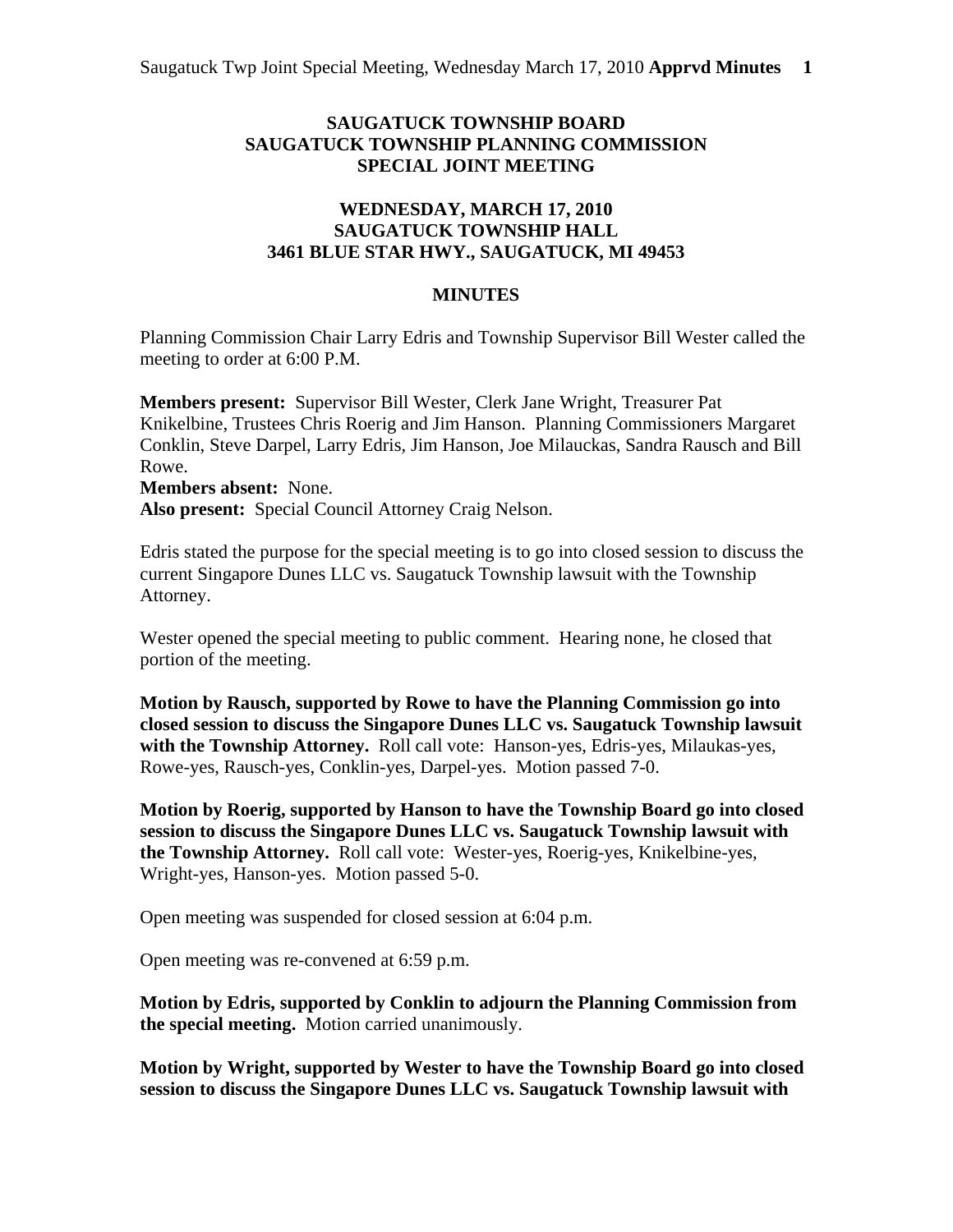## **SAUGATUCK TOWNSHIP BOARD SAUGATUCK TOWNSHIP PLANNING COMMISSION SPECIAL JOINT MEETING**

## **WEDNESDAY, MARCH 17, 2010 SAUGATUCK TOWNSHIP HALL 3461 BLUE STAR HWY., SAUGATUCK, MI 49453**

## **MINUTES**

Planning Commission Chair Larry Edris and Township Supervisor Bill Wester called the meeting to order at 6:00 P.M.

**Members present:** Supervisor Bill Wester, Clerk Jane Wright, Treasurer Pat Knikelbine, Trustees Chris Roerig and Jim Hanson. Planning Commissioners Margaret Conklin, Steve Darpel, Larry Edris, Jim Hanson, Joe Milauckas, Sandra Rausch and Bill Rowe.

**Members absent:** None. **Also present:** Special Council Attorney Craig Nelson.

Edris stated the purpose for the special meeting is to go into closed session to discuss the current Singapore Dunes LLC vs. Saugatuck Township lawsuit with the Township Attorney.

Wester opened the special meeting to public comment. Hearing none, he closed that portion of the meeting.

**Motion by Rausch, supported by Rowe to have the Planning Commission go into closed session to discuss the Singapore Dunes LLC vs. Saugatuck Township lawsuit with the Township Attorney.** Roll call vote: Hanson-yes, Edris-yes, Milaukas-yes, Rowe-yes, Rausch-yes, Conklin-yes, Darpel-yes. Motion passed 7-0.

**Motion by Roerig, supported by Hanson to have the Township Board go into closed session to discuss the Singapore Dunes LLC vs. Saugatuck Township lawsuit with the Township Attorney.** Roll call vote: Wester-yes, Roerig-yes, Knikelbine-yes, Wright-yes, Hanson-yes. Motion passed 5-0.

Open meeting was suspended for closed session at 6:04 p.m.

Open meeting was re-convened at 6:59 p.m.

**Motion by Edris, supported by Conklin to adjourn the Planning Commission from the special meeting.** Motion carried unanimously.

**Motion by Wright, supported by Wester to have the Township Board go into closed session to discuss the Singapore Dunes LLC vs. Saugatuck Township lawsuit with**